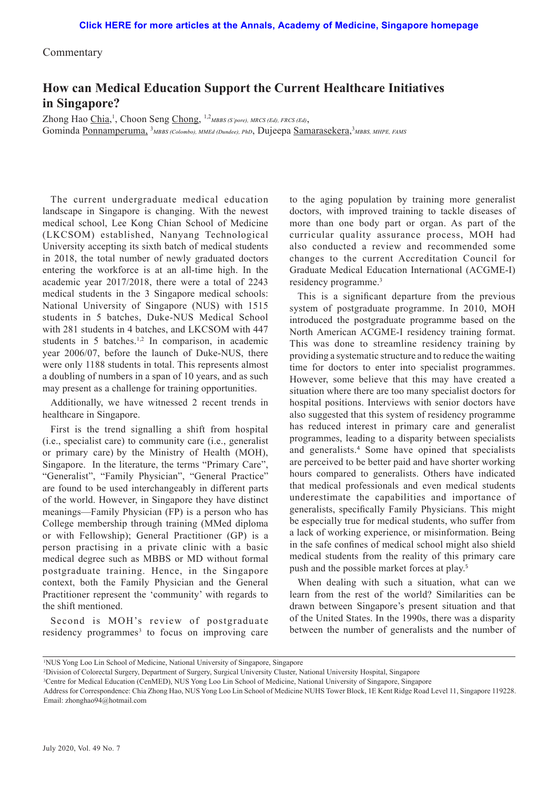Commentary

## **How can Medical Education Support the Current Healthcare Initiatives in Singapore?**

Zhong Hao Chia,<sup>1</sup>, Choon Seng Chong, <sup>1,2</sup>*MBBS (S'pore), MRCS (Ed), FRCS (Ed)*, Gominda Ponnamperuma, <sup>3</sup>MBBS (Colombo), MMEd (Dundee), PhD, Dujeepa Samarasekera,<sup>3</sup>MBBS, MHPE, FAMS

The current undergraduate medical education landscape in Singapore is changing. With the newest medical school, Lee Kong Chian School of Medicine (LKCSOM) established, Nanyang Technological University accepting its sixth batch of medical students in 2018, the total number of newly graduated doctors entering the workforce is at an all-time high. In the academic year 2017/2018, there were a total of 2243 medical students in the 3 Singapore medical schools: National University of Singapore (NUS) with 1515 students in 5 batches, Duke-NUS Medical School with 281 students in 4 batches, and LKCSOM with 447 students in 5 batches.<sup>1,2</sup> In comparison, in academic year 2006/07, before the launch of Duke-NUS, there were only 1188 students in total. This represents almost a doubling of numbers in a span of 10 years, and as such may present as a challenge for training opportunities.

Additionally, we have witnessed 2 recent trends in healthcare in Singapore.

First is the trend signalling a shift from hospital (i.e., specialist care) to community care (i.e., generalist or primary care) by the Ministry of Health (MOH), Singapore. In the literature, the terms "Primary Care", "Generalist", "Family Physician", "General Practice" are found to be used interchangeably in different parts of the world. However, in Singapore they have distinct meanings—Family Physician (FP) is a person who has College membership through training (MMed diploma or with Fellowship); General Practitioner (GP) is a person practising in a private clinic with a basic medical degree such as MBBS or MD without formal postgraduate training. Hence, in the Singapore context, both the Family Physician and the General Practitioner represent the 'community' with regards to the shift mentioned.

Second is MOH's review of postgraduate residency programmes<sup>3</sup> to focus on improving care

to the aging population by training more generalist doctors, with improved training to tackle diseases of more than one body part or organ. As part of the curricular quality assurance process, MOH had also conducted a review and recommended some changes to the current Accreditation Council for Graduate Medical Education International (ACGME-I) residency programme.3

This is a significant departure from the previous system of postgraduate programme. In 2010, MOH introduced the postgraduate programme based on the North American ACGME-I residency training format. This was done to streamline residency training by providing a systematic structure and to reduce the waiting time for doctors to enter into specialist programmes. However, some believe that this may have created a situation where there are too many specialist doctors for hospital positions. Interviews with senior doctors have also suggested that this system of residency programme has reduced interest in primary care and generalist programmes, leading to a disparity between specialists and generalists.<sup>4</sup> Some have opined that specialists are perceived to be better paid and have shorter working hours compared to generalists. Others have indicated that medical professionals and even medical students underestimate the capabilities and importance of generalists, specifically Family Physicians. This might be especially true for medical students, who suffer from a lack of working experience, or misinformation. Being in the safe confines of medical school might also shield medical students from the reality of this primary care push and the possible market forces at play.<sup>5</sup>

When dealing with such a situation, what can we learn from the rest of the world? Similarities can be drawn between Singapore's present situation and that of the United States. In the 1990s, there was a disparity between the number of generalists and the number of

<sup>1</sup> NUS Yong Loo Lin School of Medicine, National University of Singapore, Singapore

<sup>2</sup> Division of Colorectal Surgery, Department of Surgery, Surgical University Cluster, National University Hospital, Singapore

<sup>3</sup> Centre for Medical Education (CenMED), NUS Yong Loo Lin School of Medicine, National University of Singapore, Singapore

Address for Correspondence: Chia Zhong Hao, NUS Yong Loo Lin School of Medicine NUHS Tower Block, 1E Kent Ridge Road Level 11, Singapore 119228. Email: zhonghao94@hotmail.com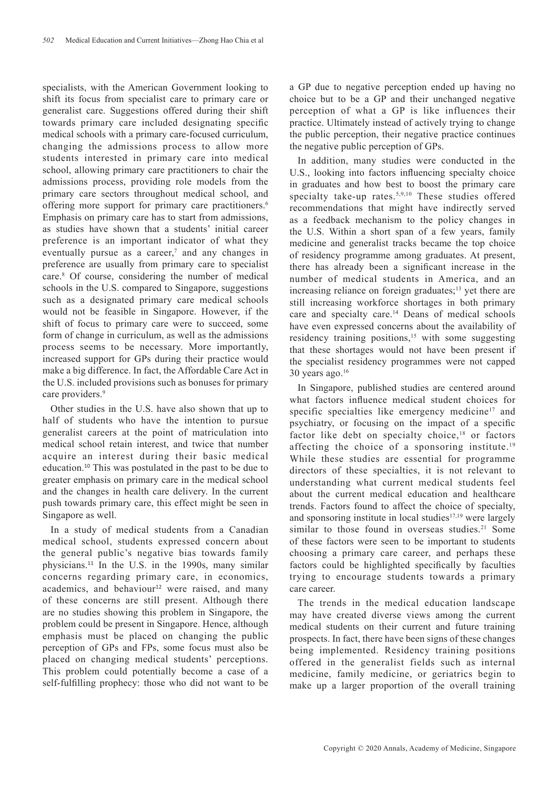specialists, with the American Government looking to shift its focus from specialist care to primary care or generalist care. Suggestions offered during their shift towards primary care included designating specific medical schools with a primary care-focused curriculum, changing the admissions process to allow more students interested in primary care into medical school, allowing primary care practitioners to chair the admissions process, providing role models from the primary care sectors throughout medical school, and offering more support for primary care practitioners.<sup>6</sup> Emphasis on primary care has to start from admissions, as studies have shown that a students' initial career preference is an important indicator of what they eventually pursue as a career, $\bar{y}$  and any changes in preference are usually from primary care to specialist care.8 Of course, considering the number of medical schools in the U.S. compared to Singapore, suggestions such as a designated primary care medical schools would not be feasible in Singapore. However, if the shift of focus to primary care were to succeed, some form of change in curriculum, as well as the admissions process seems to be necessary. More importantly, increased support for GPs during their practice would make a big difference. In fact, the Affordable Care Act in the U.S. included provisions such as bonuses for primary care providers.<sup>9</sup>

Other studies in the U.S. have also shown that up to half of students who have the intention to pursue generalist careers at the point of matriculation into medical school retain interest, and twice that number acquire an interest during their basic medical education.<sup>10</sup> This was postulated in the past to be due to greater emphasis on primary care in the medical school and the changes in health care delivery. In the current push towards primary care, this effect might be seen in Singapore as well.

In a study of medical students from a Canadian medical school, students expressed concern about the general public's negative bias towards family physicians.<sup>11</sup> In the U.S. in the 1990s, many similar concerns regarding primary care, in economics, academics, and behaviour<sup>12</sup> were raised, and many of these concerns are still present. Although there are no studies showing this problem in Singapore, the problem could be present in Singapore. Hence, although emphasis must be placed on changing the public perception of GPs and FPs, some focus must also be placed on changing medical students' perceptions. This problem could potentially become a case of a self-fulfilling prophecy: those who did not want to be a GP due to negative perception ended up having no choice but to be a GP and their unchanged negative perception of what a GP is like influences their practice. Ultimately instead of actively trying to change the public perception, their negative practice continues the negative public perception of GPs.

In addition, many studies were conducted in the U.S., looking into factors influencing specialty choice in graduates and how best to boost the primary care specialty take-up rates.<sup>5,9,10</sup> These studies offered recommendations that might have indirectly served as a feedback mechanism to the policy changes in the U.S. Within a short span of a few years, family medicine and generalist tracks became the top choice of residency programme among graduates. At present, there has already been a significant increase in the number of medical students in America, and an increasing reliance on foreign graduates; $^{13}$  yet there are still increasing workforce shortages in both primary care and specialty care.14 Deans of medical schools have even expressed concerns about the availability of residency training positions,<sup>15</sup> with some suggesting that these shortages would not have been present if the specialist residency programmes were not capped  $30$  years ago.<sup>16</sup>

In Singapore, published studies are centered around what factors influence medical student choices for specific specialties like emergency medicine<sup>17</sup> and psychiatry, or focusing on the impact of a specific factor like debt on specialty choice,<sup>18</sup> or factors affecting the choice of a sponsoring institute.<sup>19</sup> While these studies are essential for programme directors of these specialties, it is not relevant to understanding what current medical students feel about the current medical education and healthcare trends. Factors found to affect the choice of specialty, and sponsoring institute in local studies<sup>17,19</sup> were largely similar to those found in overseas studies.<sup>21</sup> Some of these factors were seen to be important to students choosing a primary care career, and perhaps these factors could be highlighted specifically by faculties trying to encourage students towards a primary care career.

The trends in the medical education landscape may have created diverse views among the current medical students on their current and future training prospects. In fact, there have been signs of these changes being implemented. Residency training positions offered in the generalist fields such as internal medicine, family medicine, or geriatrics begin to make up a larger proportion of the overall training